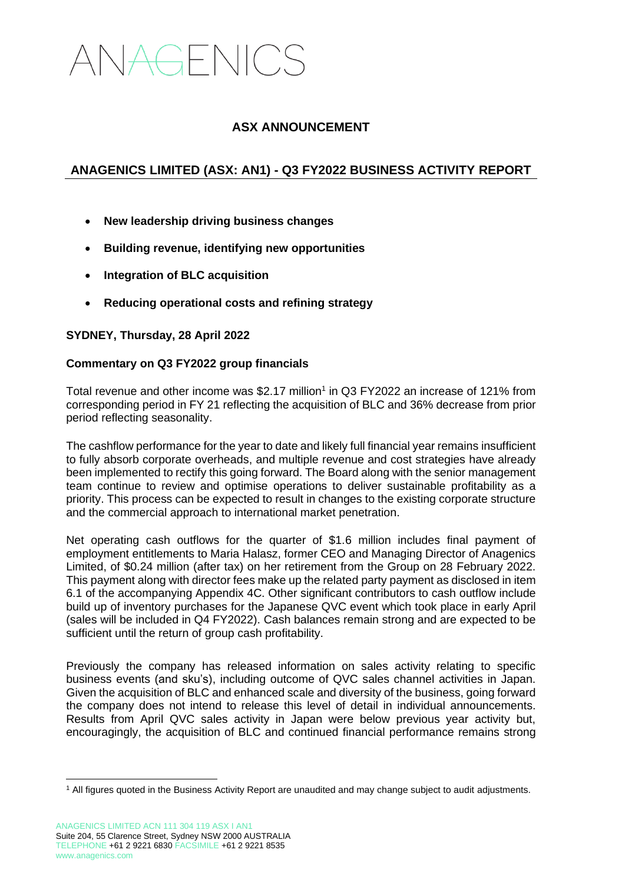# ANAGENICS

### **ASX ANNOUNCEMENT**

## **ANAGENICS LIMITED (ASX: AN1) - Q3 FY2022 BUSINESS ACTIVITY REPORT**

- **New leadership driving business changes**
- **Building revenue, identifying new opportunities**
- **Integration of BLC acquisition**
- **Reducing operational costs and refining strategy**

#### **SYDNEY, Thursday, 28 April 2022**

#### **Commentary on Q3 FY2022 group financials**

Total revenue and other income was  $$2.17$  million<sup>1</sup> in Q3 FY2022 an increase of 121% from corresponding period in FY 21 reflecting the acquisition of BLC and 36% decrease from prior period reflecting seasonality.

The cashflow performance for the year to date and likely full financial year remains insufficient to fully absorb corporate overheads, and multiple revenue and cost strategies have already been implemented to rectify this going forward. The Board along with the senior management team continue to review and optimise operations to deliver sustainable profitability as a priority. This process can be expected to result in changes to the existing corporate structure and the commercial approach to international market penetration.

Net operating cash outflows for the quarter of \$1.6 million includes final payment of employment entitlements to Maria Halasz, former CEO and Managing Director of Anagenics Limited, of \$0.24 million (after tax) on her retirement from the Group on 28 February 2022. This payment along with director fees make up the related party payment as disclosed in item 6.1 of the accompanying Appendix 4C. Other significant contributors to cash outflow include build up of inventory purchases for the Japanese QVC event which took place in early April (sales will be included in Q4 FY2022). Cash balances remain strong and are expected to be sufficient until the return of group cash profitability.

Previously the company has released information on sales activity relating to specific business events (and sku's), including outcome of QVC sales channel activities in Japan. Given the acquisition of BLC and enhanced scale and diversity of the business, going forward the company does not intend to release this level of detail in individual announcements. Results from April QVC sales activity in Japan were below previous year activity but, encouragingly, the acquisition of BLC and continued financial performance remains strong

<sup>1</sup> All figures quoted in the Business Activity Report are unaudited and may change subject to audit adjustments.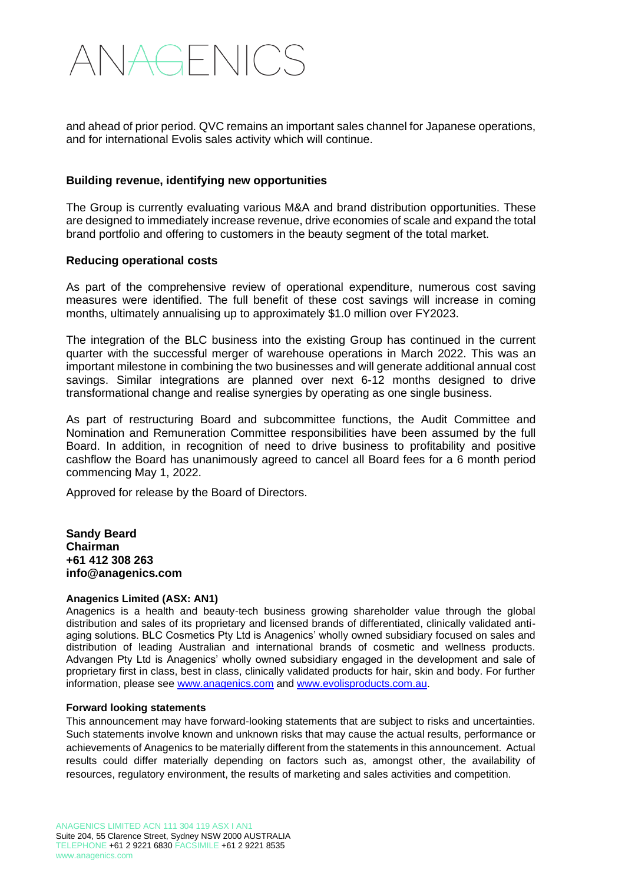# ANAGENICS

and ahead of prior period. QVC remains an important sales channel for Japanese operations, and for international Evolis sales activity which will continue.

#### **Building revenue, identifying new opportunities**

The Group is currently evaluating various M&A and brand distribution opportunities. These are designed to immediately increase revenue, drive economies of scale and expand the total brand portfolio and offering to customers in the beauty segment of the total market.

#### **Reducing operational costs**

As part of the comprehensive review of operational expenditure, numerous cost saving measures were identified. The full benefit of these cost savings will increase in coming months, ultimately annualising up to approximately \$1.0 million over FY2023.

The integration of the BLC business into the existing Group has continued in the current quarter with the successful merger of warehouse operations in March 2022. This was an important milestone in combining the two businesses and will generate additional annual cost savings. Similar integrations are planned over next 6-12 months designed to drive transformational change and realise synergies by operating as one single business.

As part of restructuring Board and subcommittee functions, the Audit Committee and Nomination and Remuneration Committee responsibilities have been assumed by the full Board. In addition, in recognition of need to drive business to profitability and positive cashflow the Board has unanimously agreed to cancel all Board fees for a 6 month period commencing May 1, 2022.

Approved for release by the Board of Directors.

**Sandy Beard Chairman +61 412 308 263 info@anagenics.com**

#### **Anagenics Limited (ASX: AN1)**

Anagenics is a health and beauty-tech business growing shareholder value through the global distribution and sales of its proprietary and licensed brands of differentiated, clinically validated antiaging solutions. BLC Cosmetics Pty Ltd is Anagenics' wholly owned subsidiary focused on sales and distribution of leading Australian and international brands of cosmetic and wellness products. Advangen Pty Ltd is Anagenics' wholly owned subsidiary engaged in the development and sale of proprietary first in class, best in class, clinically validated products for hair, skin and body. For further information, please see [www.anagenics.com](http://www.anagenics.com/) and [www.evolisproducts.com.au.](http://www.evolisproducts.com.au/)

#### **Forward looking statements**

This announcement may have forward-looking statements that are subject to risks and uncertainties. Such statements involve known and unknown risks that may cause the actual results, performance or achievements of Anagenics to be materially different from the statements in this announcement. Actual results could differ materially depending on factors such as, amongst other, the availability of resources, regulatory environment, the results of marketing and sales activities and competition.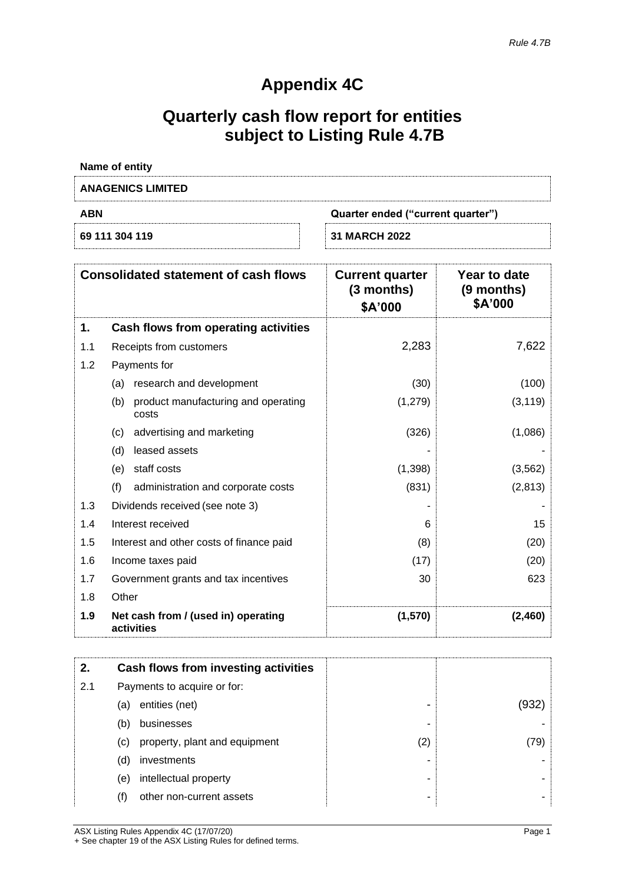# **Appendix 4C**

# **Quarterly cash flow report for entities subject to Listing Rule 4.7B**

| Name of entity           |                                   |
|--------------------------|-----------------------------------|
| <b>ANAGENICS LIMITED</b> |                                   |
| <b>ABN</b>               | Quarter ended ("current quarter") |
| 69 111 304 119           | <b>31 MARCH 2022</b>              |

|     | <b>Consolidated statement of cash flows</b>         | <b>Current quarter</b><br>$(3$ months)<br>\$A'000 | <b>Year to date</b><br>$(9$ months)<br>\$A'000 |
|-----|-----------------------------------------------------|---------------------------------------------------|------------------------------------------------|
| 1.  | Cash flows from operating activities                |                                                   |                                                |
| 1.1 | Receipts from customers                             | 2,283                                             | 7,622                                          |
| 1.2 | Payments for                                        |                                                   |                                                |
|     | research and development<br>(a)                     | (30)                                              | (100)                                          |
|     | product manufacturing and operating<br>(b)<br>costs | (1,279)                                           | (3, 119)                                       |
|     | advertising and marketing<br>(c)                    | (326)                                             | (1,086)                                        |
|     | leased assets<br>(d)                                |                                                   |                                                |
|     | staff costs<br>(e)                                  | (1,398)                                           | (3, 562)                                       |
|     | (f)<br>administration and corporate costs           | (831)                                             | (2, 813)                                       |
| 1.3 | Dividends received (see note 3)                     |                                                   |                                                |
| 1.4 | Interest received                                   | 6                                                 | 15                                             |
| 1.5 | Interest and other costs of finance paid            | (8)                                               | (20)                                           |
| 1.6 | Income taxes paid                                   | (17)                                              | (20)                                           |
| 1.7 | Government grants and tax incentives                | 30                                                | 623                                            |
| 1.8 | Other                                               |                                                   |                                                |
| 1.9 | Net cash from / (used in) operating<br>activities   | (1,570)                                           | (2, 460)                                       |

| 2.  |     | Cash flows from investing activities |     |       |
|-----|-----|--------------------------------------|-----|-------|
| 2.1 |     | Payments to acquire or for:          |     |       |
|     | (a) | entities (net)                       |     | (932) |
|     | (b) | businesses                           |     |       |
|     | (c) | property, plant and equipment        | (2) | (79)  |
|     | (d) | investments                          |     |       |
|     | (e) | intellectual property                |     |       |
|     | (f) | other non-current assets             |     |       |

ASX Listing Rules Appendix 4C (17/07/20) Page 1 + See chapter 19 of the ASX Listing Rules for defined terms.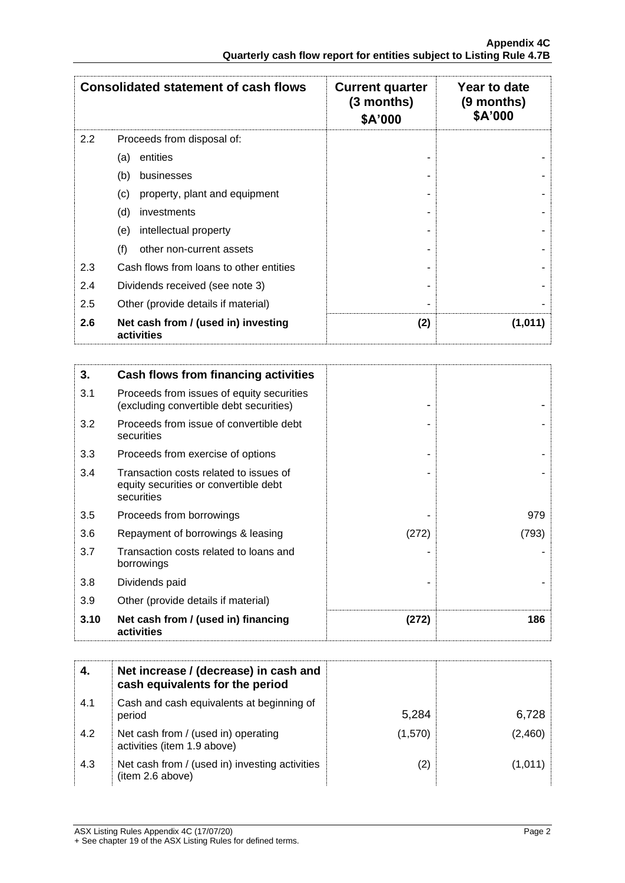|     | <b>Consolidated statement of cash flows</b>       | <b>Current quarter</b><br>$(3$ months)<br>\$A'000 | Year to date<br>$(9$ months)<br>\$A'000 |
|-----|---------------------------------------------------|---------------------------------------------------|-----------------------------------------|
| 2.2 | Proceeds from disposal of:                        |                                                   |                                         |
|     | entities<br>(a)                                   |                                                   |                                         |
|     | (b)<br>businesses                                 |                                                   |                                         |
|     | (c)<br>property, plant and equipment              |                                                   |                                         |
|     | (d)<br>investments                                |                                                   |                                         |
|     | intellectual property<br>(e)                      |                                                   |                                         |
|     | (f)<br>other non-current assets                   |                                                   |                                         |
| 2.3 | Cash flows from loans to other entities           |                                                   |                                         |
| 2.4 | Dividends received (see note 3)                   |                                                   |                                         |
| 2.5 | Other (provide details if material)               |                                                   |                                         |
| 2.6 | Net cash from / (used in) investing<br>activities | (2)                                               | (1,011)                                 |

| 3.   | Cash flows from financing activities                                                          |       |       |
|------|-----------------------------------------------------------------------------------------------|-------|-------|
| 3.1  | Proceeds from issues of equity securities<br>(excluding convertible debt securities)          |       |       |
| 3.2  | Proceeds from issue of convertible debt<br>securities                                         |       |       |
| 3.3  | Proceeds from exercise of options                                                             |       |       |
| 3.4  | Transaction costs related to issues of<br>equity securities or convertible debt<br>securities |       |       |
| 3.5  | Proceeds from borrowings                                                                      |       | 979   |
| 3.6  | Repayment of borrowings & leasing                                                             | (272) | (793) |
| 3.7  | Transaction costs related to loans and<br>borrowings                                          |       |       |
| 3.8  | Dividends paid                                                                                |       |       |
| 3.9  | Other (provide details if material)                                                           |       |       |
| 3.10 | Net cash from / (used in) financing<br>activities                                             | (272) | 186   |

|     | Net increase / (decrease) in cash and<br>cash equivalents for the period |         |         |
|-----|--------------------------------------------------------------------------|---------|---------|
| 4.1 | Cash and cash equivalents at beginning of<br>period                      | 5,284   | 6,728   |
| 4.2 | Net cash from / (used in) operating<br>activities (item 1.9 above)       | (1,570) | (2,460) |
| 4.3 | Net cash from / (used in) investing activities<br>(item 2.6 above)       | (2)     | (1,011) |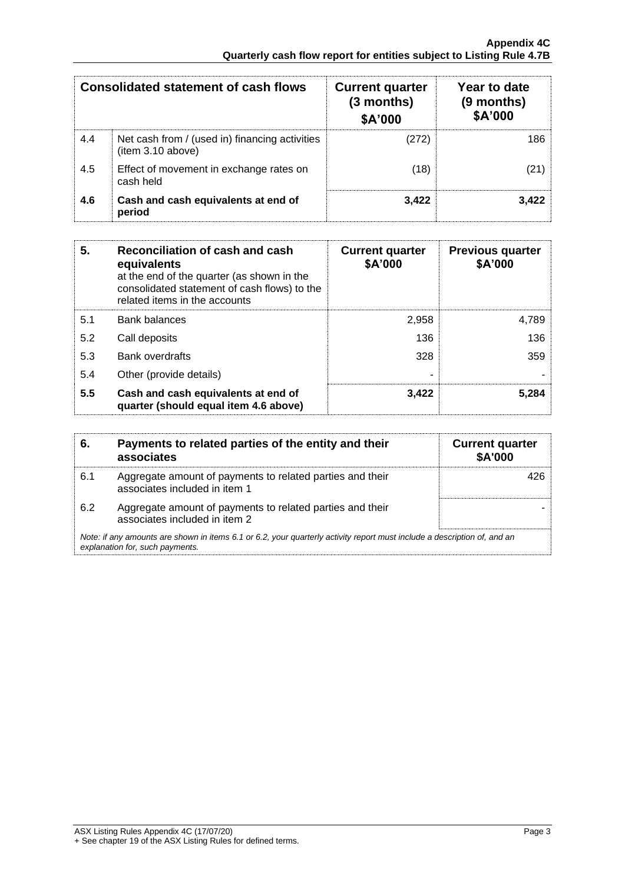| <b>Consolidated statement of cash flows</b> |                                                                     | <b>Current quarter</b><br>$(3$ months)<br>\$A'000 | Year to date<br>(9 months)<br>\$A'000 |
|---------------------------------------------|---------------------------------------------------------------------|---------------------------------------------------|---------------------------------------|
| 4.4                                         | Net cash from / (used in) financing activities<br>(item 3.10 above) | (272)                                             | 186                                   |
| 4.5                                         | Effect of movement in exchange rates on<br>cash held                | (18)                                              | (21)                                  |
| 4.6                                         | Cash and cash equivalents at end of<br>period                       | 3,422                                             | 3,422                                 |

| 5.  | Reconciliation of cash and cash<br>equivalents<br>at the end of the quarter (as shown in the<br>consolidated statement of cash flows) to the<br>related items in the accounts | <b>Current quarter</b><br>\$A'000 | <b>Previous quarter</b><br>\$A'000 |
|-----|-------------------------------------------------------------------------------------------------------------------------------------------------------------------------------|-----------------------------------|------------------------------------|
| 5.1 | <b>Bank balances</b>                                                                                                                                                          | 2,958                             | 4,789                              |
| 5.2 | Call deposits                                                                                                                                                                 | 136                               | 136                                |
| 5.3 | Bank overdrafts                                                                                                                                                               | 328                               | 359                                |
| 5.4 | Other (provide details)                                                                                                                                                       |                                   |                                    |
| 5.5 | Cash and cash equivalents at end of<br>quarter (should equal item 4.6 above)                                                                                                  | 3,422                             | 5.284                              |

| 6.  | Payments to related parties of the entity and their<br>associates                                                                                           | <b>Current quarter</b><br><b>\$A'000</b> |
|-----|-------------------------------------------------------------------------------------------------------------------------------------------------------------|------------------------------------------|
| 6.1 | Aggregate amount of payments to related parties and their<br>associates included in item 1                                                                  | 426                                      |
| 6.2 | Aggregate amount of payments to related parties and their<br>associates included in item 2                                                                  |                                          |
|     | Note: if any amounts are shown in items 6.1 or 6.2, your quarterly activity report must include a description of, and an<br>explanation for, such payments. |                                          |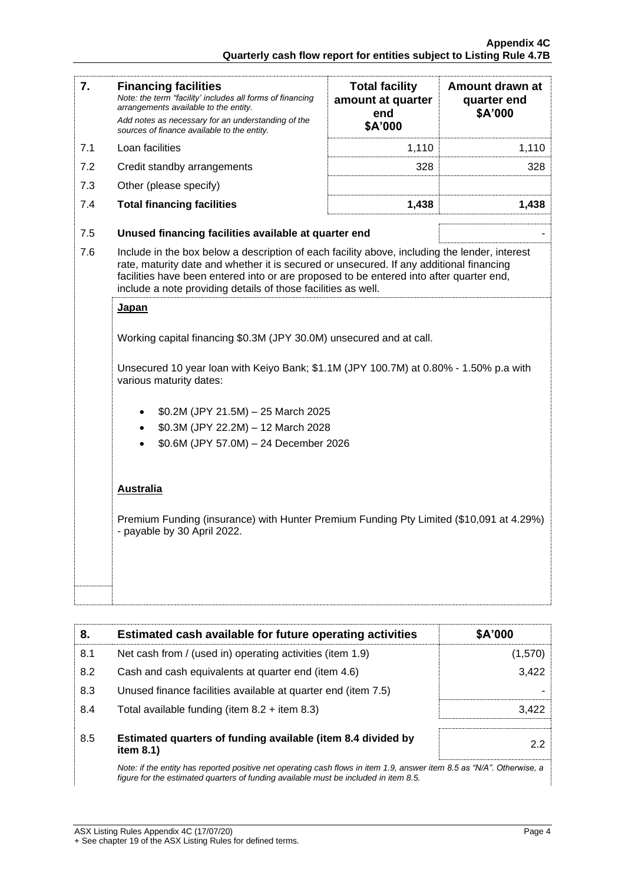| 7.  | <b>Financing facilities</b><br>Note: the term "facility' includes all forms of financing<br>arrangements available to the entity.<br>Add notes as necessary for an understanding of the<br>sources of finance available to the entity.                                                                                                               | <b>Total facility</b><br>amount at quarter<br>end<br>\$A'000 | Amount drawn at<br>quarter end<br>\$A'000 |  |
|-----|------------------------------------------------------------------------------------------------------------------------------------------------------------------------------------------------------------------------------------------------------------------------------------------------------------------------------------------------------|--------------------------------------------------------------|-------------------------------------------|--|
| 7.1 | Loan facilities                                                                                                                                                                                                                                                                                                                                      | 1,110                                                        | 1,110                                     |  |
| 7.2 | Credit standby arrangements                                                                                                                                                                                                                                                                                                                          | 328                                                          | 328                                       |  |
| 7.3 | Other (please specify)                                                                                                                                                                                                                                                                                                                               |                                                              |                                           |  |
| 7.4 | <b>Total financing facilities</b>                                                                                                                                                                                                                                                                                                                    | 1,438                                                        | 1,438                                     |  |
| 7.5 | Unused financing facilities available at quarter end                                                                                                                                                                                                                                                                                                 |                                                              |                                           |  |
| 7.6 | Include in the box below a description of each facility above, including the lender, interest<br>rate, maturity date and whether it is secured or unsecured. If any additional financing<br>facilities have been entered into or are proposed to be entered into after quarter end,<br>include a note providing details of those facilities as well. |                                                              |                                           |  |
|     | <b>Japan</b>                                                                                                                                                                                                                                                                                                                                         |                                                              |                                           |  |
|     | Working capital financing \$0.3M (JPY 30.0M) unsecured and at call.<br>Unsecured 10 year loan with Keiyo Bank; \$1.1M (JPY 100.7M) at 0.80% - 1.50% p.a with<br>various maturity dates:<br>\$0.2M (JPY 21.5M) - 25 March 2025                                                                                                                        |                                                              |                                           |  |
|     |                                                                                                                                                                                                                                                                                                                                                      |                                                              |                                           |  |
|     | \$0.3M (JPY 22.2M) - 12 March 2028<br>$\bullet$                                                                                                                                                                                                                                                                                                      |                                                              |                                           |  |
|     | \$0.6M (JPY 57.0M) - 24 December 2026                                                                                                                                                                                                                                                                                                                |                                                              |                                           |  |
|     |                                                                                                                                                                                                                                                                                                                                                      |                                                              |                                           |  |
|     | <b>Australia</b>                                                                                                                                                                                                                                                                                                                                     |                                                              |                                           |  |
|     | Premium Funding (insurance) with Hunter Premium Funding Pty Limited (\$10,091 at 4.29%)<br>- payable by 30 April 2022.                                                                                                                                                                                                                               |                                                              |                                           |  |
|     |                                                                                                                                                                                                                                                                                                                                                      |                                                              |                                           |  |

| 8.  | Estimated cash available for future operating activities                                                                                                                                                       | \$A'000 |
|-----|----------------------------------------------------------------------------------------------------------------------------------------------------------------------------------------------------------------|---------|
| 8.1 | Net cash from / (used in) operating activities (item 1.9)                                                                                                                                                      | (1,570) |
| 8.2 | Cash and cash equivalents at quarter end (item 4.6)                                                                                                                                                            | 3,422   |
| 8.3 | Unused finance facilities available at quarter end (item 7.5)                                                                                                                                                  |         |
| 8.4 | Total available funding (item $8.2 +$ item $8.3$ )                                                                                                                                                             | 3.422   |
| 8.5 | Estimated quarters of funding available (item 8.4 divided by<br>item $8.1$ )                                                                                                                                   | 2.2     |
|     | Note: if the entity has reported positive net operating cash flows in item 1.9, answer item 8.5 as "N/A". Otherwise, a<br>figure for the estimated guarters of funding available must be included in item 8.5. |         |